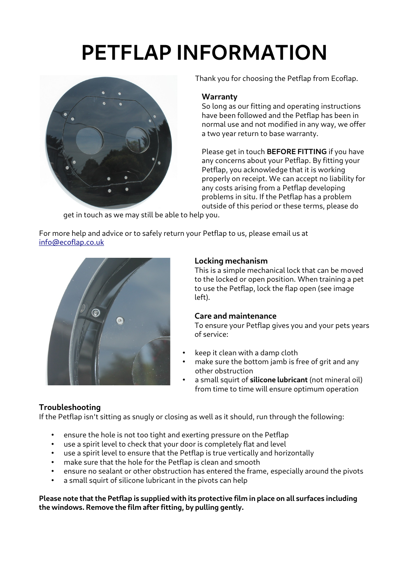# **PETFLAP INFORMATION**



Thank you for choosing the Petflap from Ecoflap.

# **Warranty**

So long as our fitting and operating instructions have been followed and the Petflap has been in normal use and not modified in any way, we offer a two year return to base warranty.

Please get in touch **BEFORE FITTING** if you have any concerns about your Petflap. By fitting your Petflap, you acknowledge that it is working properly on receipt. We can accept no liability for any costs arising from a Petflap developing problems in situ. If the Petflap has a problem outside of this period or these terms, please do

get in touch as we may still be able to help you.

For more help and advice or to safely return your Petflap to us, please email us at [info@ecoflap.co.uk](mailto:info@ecoflap.co.uk)



# **Locking mechanism**

This is a simple mechanical lock that can be moved to the locked or open position. When training a pet to use the Petflap, lock the flap open (see image left).

# **Care and maintenance**

To ensure your Petflap gives you and your pets years of service:

- keep it clean with a damp cloth
- make sure the bottom jamb is free of grit and any other obstruction
- a small squirt of **silicone lubricant** (not mineral oil) from time to time will ensure optimum operation

# **Troubleshooting**

If the Petflap isn't sitting as snugly or closing as well as it should, run through the following:

- ensure the hole is not too tight and exerting pressure on the Petflap
- use a spirit level to check that your door is completely flat and level
- use a spirit level to ensure that the Petflap is true vertically and horizontally
- make sure that the hole for the Petflap is clean and smooth
- ensure no sealant or other obstruction has entered the frame, especially around the pivots
- a small squirt of silicone lubricant in the pivots can help

**Please note that the Petflap is supplied with its protective film in place on all surfaces including the windows. Remove the film after fitting, by pulling gently.**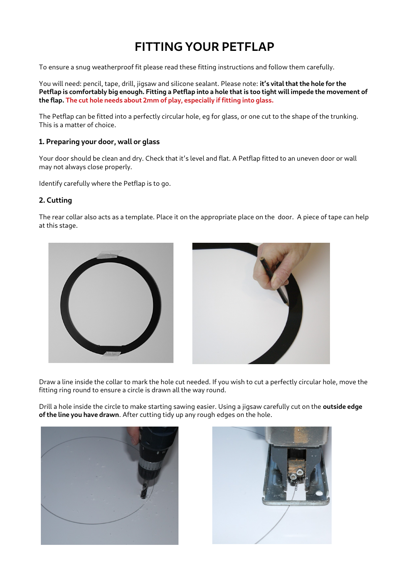# **FITTING YOUR PETFLAP**

To ensure a snug weatherproof fit please read these fitting instructions and follow them carefully.

You will need: pencil, tape, drill, jigsaw and silicone sealant. Please note: **it's vital that the hole for the Petflap is comfortably big enough. Fitting a Petflap into a hole that is too tight will impede the movement of the flap. The cut hole needs about 2mm of play, especially if fitting into glass.**

The Petflap can be fitted into a perfectly circular hole, eg for glass, or one cut to the shape of the trunking. This is a matter of choice.

### **1. Preparing your door, wall or glass**

Your door should be clean and dry. Check that it's level and flat. A Petflap fitted to an uneven door or wall may not always close properly.

Identify carefully where the Petflap is to go.

### **2. Cutting**

The rear collar also acts as a template. Place it on the appropriate place on the door. A piece of tape can help at this stage.





Draw a line inside the collar to mark the hole cut needed. If you wish to cut a perfectly circular hole, move the fitting ring round to ensure a circle is drawn all the way round.

Drill a hole inside the circle to make starting sawing easier. Using a jigsaw carefully cut on the **outside edge of the line you have drawn**. After cutting tidy up any rough edges on the hole.